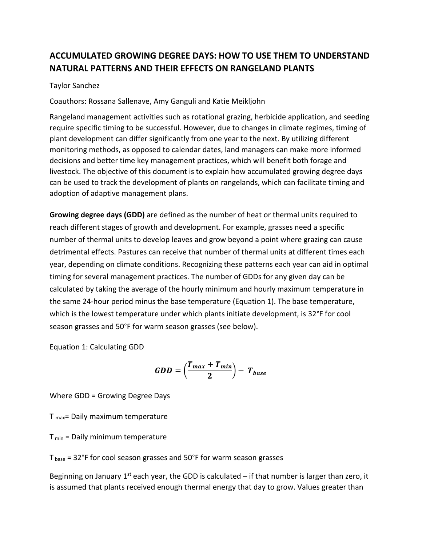# **ACCUMULATED GROWING DEGREE DAYS: HOW TO USE THEM TO UNDERSTAND NATURAL PATTERNS AND THEIR EFFECTS ON RANGELAND PLANTS**

### Taylor Sanchez

Coauthors: Rossana Sallenave, Amy Ganguli and Katie Meikljohn

Rangeland management activities such as rotational grazing, herbicide application, and seeding require specific timing to be successful. However, due to changes in climate regimes, timing of plant development can differ significantly from one year to the next. By utilizing different monitoring methods, as opposed to calendar dates, land managers can make more informed decisions and better time key management practices, which will benefit both forage and livestock. The objective of this document is to explain how accumulated growing degree days can be used to track the development of plants on rangelands, which can facilitate timing and adoption of adaptive management plans.

**Growing degree days (GDD)** are defined as the number of heat or thermal units required to reach different stages of growth and development. For example, grasses need a specific number of thermal units to develop leaves and grow beyond a point where grazing can cause detrimental effects. Pastures can receive that number of thermal units at different times each year, depending on climate conditions. Recognizing these patterns each year can aid in optimal timing for several management practices. The number of GDDs for any given day can be calculated by taking the average of the hourly minimum and hourly maximum temperature in the same 24-hour period minus the base temperature (Equation 1). The base temperature, which is the lowest temperature under which plants initiate development, is 32°F for cool season grasses and 50°F for warm season grasses (see below).

Equation 1: Calculating GDD

$$
GDD = \left(\frac{T_{max} + T_{min}}{2}\right) - T_{base}
$$

Where GDD = Growing Degree Days

T max= Daily maximum temperature

 $T_{min}$  = Daily minimum temperature

T base = 32°F for cool season grasses and 50°F for warm season grasses

Beginning on January 1<sup>st</sup> each year, the GDD is calculated – if that number is larger than zero, it is assumed that plants received enough thermal energy that day to grow. Values greater than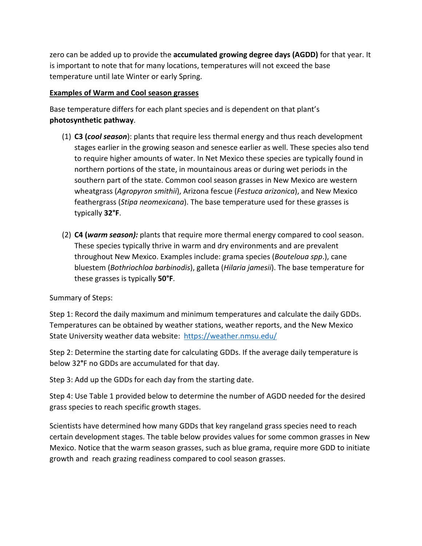zero can be added up to provide the **accumulated growing degree days (AGDD)** for that year. It is important to note that for many locations, temperatures will not exceed the base temperature until late Winter or early Spring.

### **Examples of Warm and Cool season grasses**

Base temperature differs for each plant species and is dependent on that plant's **photosynthetic pathway**.

- (1) **C3 (***cool season*): plants that require less thermal energy and thus reach development stages earlier in the growing season and senesce earlier as well. These species also tend to require higher amounts of water. In Net Mexico these species are typically found in northern portions of the state, in mountainous areas or during wet periods in the southern part of the state. Common cool season grasses in New Mexico are western wheatgrass (*Agropyron smithii*), Arizona fescue (*Festuca arizonica*), and New Mexico feathergrass (*Stipa neomexicana*). The base temperature used for these grasses is typically **32°F**.
- (2) **C4 (***warm season):* plants that require more thermal energy compared to cool season. These species typically thrive in warm and dry environments and are prevalent throughout New Mexico. Examples include: grama species (*Bouteloua spp*.), cane bluestem (*Bothriochloa barbinodis*), galleta (*Hilaria jamesii*). The base temperature for these grasses is typically **50°F**.

## Summary of Steps:

Step 1: Record the daily maximum and minimum temperatures and calculate the daily GDDs. Temperatures can be obtained by weather stations, weather reports, and the New Mexico State University weather data website: <https://weather.nmsu.edu/>

Step 2: Determine the starting date for calculating GDDs. If the average daily temperature is below 32**°**F no GDDs are accumulated for that day.

Step 3: Add up the GDDs for each day from the starting date.

Step 4: Use Table 1 provided below to determine the number of AGDD needed for the desired grass species to reach specific growth stages.

Scientists have determined how many GDDs that key rangeland grass species need to reach certain development stages. The table below provides values for some common grasses in New Mexico. Notice that the warm season grasses, such as blue grama, require more GDD to initiate growth and reach grazing readiness compared to cool season grasses.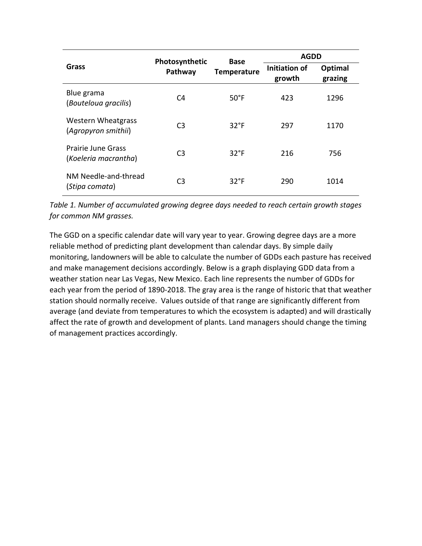| Grass                                             | Photosynthetic<br>Pathway | Base<br><b>Temperature</b> | <b>AGDD</b>             |                    |
|---------------------------------------------------|---------------------------|----------------------------|-------------------------|--------------------|
|                                                   |                           |                            | Initiation of<br>growth | Optimal<br>grazing |
| Blue grama<br>(Bouteloua gracilis)                | C <sub>4</sub>            | $50^{\circ}$ F             | 423                     | 1296               |
| <b>Western Wheatgrass</b><br>(Agropyron smithii)  | C <sub>3</sub>            | $32^{\circ}F$              | 297                     | 1170               |
| <b>Prairie June Grass</b><br>(Koeleria macrantha) | C <sub>3</sub>            | $32^{\circ}F$              | 216                     | 756                |
| NM Needle-and-thread<br>(Stipa comata)            | C3                        | $32^{\circ}F$              | 290                     | 1014               |

*Table 1. Number of accumulated growing degree days needed to reach certain growth stages for common NM grasses.* 

The GGD on a specific calendar date will vary year to year. Growing degree days are a more reliable method of predicting plant development than calendar days. By simple daily monitoring, landowners will be able to calculate the number of GDDs each pasture has received and make management decisions accordingly. Below is a graph displaying GDD data from a weather station near Las Vegas, New Mexico. Each line represents the number of GDDs for each year from the period of 1890-2018. The gray area is the range of historic that that weather station should normally receive. Values outside of that range are significantly different from average (and deviate from temperatures to which the ecosystem is adapted) and will drastically affect the rate of growth and development of plants. Land managers should change the timing of management practices accordingly.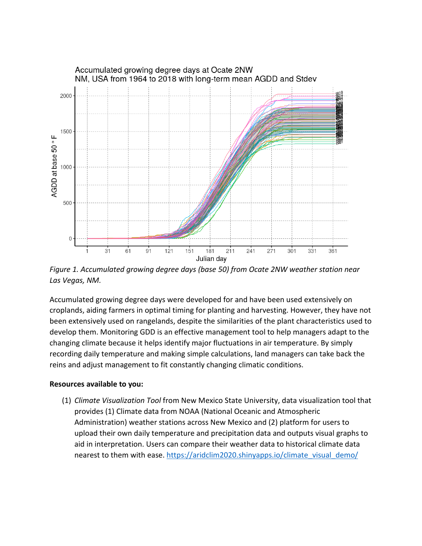

*Figure 1. Accumulated growing degree days (base 50) from Ocate 2NW weather station near Las Vegas, NM.* 

Accumulated growing degree days were developed for and have been used extensively on croplands, aiding farmers in optimal timing for planting and harvesting. However, they have not been extensively used on rangelands, despite the similarities of the plant characteristics used to develop them. Monitoring GDD is an effective management tool to help managers adapt to the changing climate because it helps identify major fluctuations in air temperature. By simply recording daily temperature and making simple calculations, land managers can take back the reins and adjust management to fit constantly changing climatic conditions.

#### **Resources available to you:**

(1) *Climate Visualization Tool* from New Mexico State University, data visualization tool that provides (1) Climate data from NOAA (National Oceanic and Atmospheric Administration) weather stations across New Mexico and (2) platform for users to upload their own daily temperature and precipitation data and outputs visual graphs to aid in interpretation. Users can compare their weather data to historical climate data nearest to them with ease. [https://aridclim2020.shinyapps.io/climate\\_visual\\_demo/](https://aridclim2020.shinyapps.io/climate_visual_demo/)